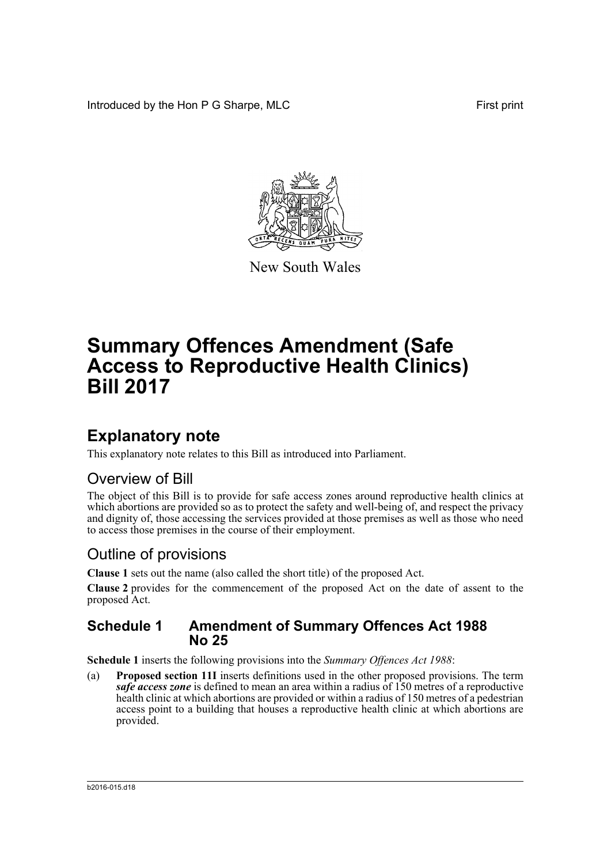Introduced by the Hon P G Sharpe, MLC First print



New South Wales

# **Summary Offences Amendment (Safe Access to Reproductive Health Clinics) Bill 2017**

## **Explanatory note**

This explanatory note relates to this Bill as introduced into Parliament.

### Overview of Bill

The object of this Bill is to provide for safe access zones around reproductive health clinics at which abortions are provided so as to protect the safety and well-being of, and respect the privacy and dignity of, those accessing the services provided at those premises as well as those who need to access those premises in the course of their employment.

### Outline of provisions

**Clause 1** sets out the name (also called the short title) of the proposed Act.

**Clause 2** provides for the commencement of the proposed Act on the date of assent to the proposed Act.

### **Schedule 1 Amendment of Summary Offences Act 1988 No 25**

**Schedule 1** inserts the following provisions into the *Summary Offences Act 1988*:

(a) **Proposed section 11I** inserts definitions used in the other proposed provisions. The term *safe access zone* is defined to mean an area within a radius of 150 metres of a reproductive health clinic at which abortions are provided or within a radius of 150 metres of a pedestrian access point to a building that houses a reproductive health clinic at which abortions are provided.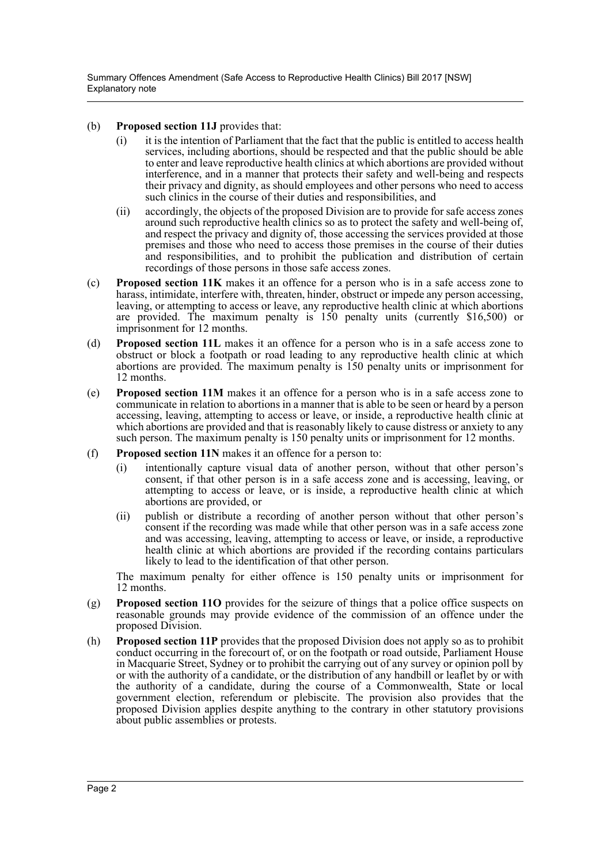Summary Offences Amendment (Safe Access to Reproductive Health Clinics) Bill 2017 [NSW] Explanatory note

#### (b) **Proposed section 11J** provides that:

- (i) it is the intention of Parliament that the fact that the public is entitled to access health services, including abortions, should be respected and that the public should be able to enter and leave reproductive health clinics at which abortions are provided without interference, and in a manner that protects their safety and well-being and respects their privacy and dignity, as should employees and other persons who need to access such clinics in the course of their duties and responsibilities, and
- (ii) accordingly, the objects of the proposed Division are to provide for safe access zones around such reproductive health clinics so as to protect the safety and well-being of, and respect the privacy and dignity of, those accessing the services provided at those premises and those who need to access those premises in the course of their duties and responsibilities, and to prohibit the publication and distribution of certain recordings of those persons in those safe access zones.
- (c) **Proposed section 11K** makes it an offence for a person who is in a safe access zone to harass, intimidate, interfere with, threaten, hinder, obstruct or impede any person accessing, leaving, or attempting to access or leave, any reproductive health clinic at which abortions are provided. The maximum penalty is 150 penalty units (currently \$16,500) or imprisonment for 12 months.
- (d) **Proposed section 11L** makes it an offence for a person who is in a safe access zone to obstruct or block a footpath or road leading to any reproductive health clinic at which abortions are provided. The maximum penalty is 150 penalty units or imprisonment for 12 months.
- (e) **Proposed section 11M** makes it an offence for a person who is in a safe access zone to communicate in relation to abortions in a manner that is able to be seen or heard by a person accessing, leaving, attempting to access or leave, or inside, a reproductive health clinic at which abortions are provided and that is reasonably likely to cause distress or anxiety to any such person. The maximum penalty is 150 penalty units or imprisonment for 12 months.
- (f) **Proposed section 11N** makes it an offence for a person to:
	- (i) intentionally capture visual data of another person, without that other person's consent, if that other person is in a safe access zone and is accessing, leaving, or attempting to access or leave, or is inside, a reproductive health clinic at which abortions are provided, or
	- (ii) publish or distribute a recording of another person without that other person's consent if the recording was made while that other person was in a safe access zone and was accessing, leaving, attempting to access or leave, or inside, a reproductive health clinic at which abortions are provided if the recording contains particulars likely to lead to the identification of that other person.

The maximum penalty for either offence is 150 penalty units or imprisonment for 12 months.

- (g) **Proposed section 11O** provides for the seizure of things that a police office suspects on reasonable grounds may provide evidence of the commission of an offence under the proposed Division.
- (h) **Proposed section 11P** provides that the proposed Division does not apply so as to prohibit conduct occurring in the forecourt of, or on the footpath or road outside, Parliament House in Macquarie Street, Sydney or to prohibit the carrying out of any survey or opinion poll by or with the authority of a candidate, or the distribution of any handbill or leaflet by or with the authority of a candidate, during the course of a Commonwealth, State or local government election, referendum or plebiscite. The provision also provides that the proposed Division applies despite anything to the contrary in other statutory provisions about public assemblies or protests.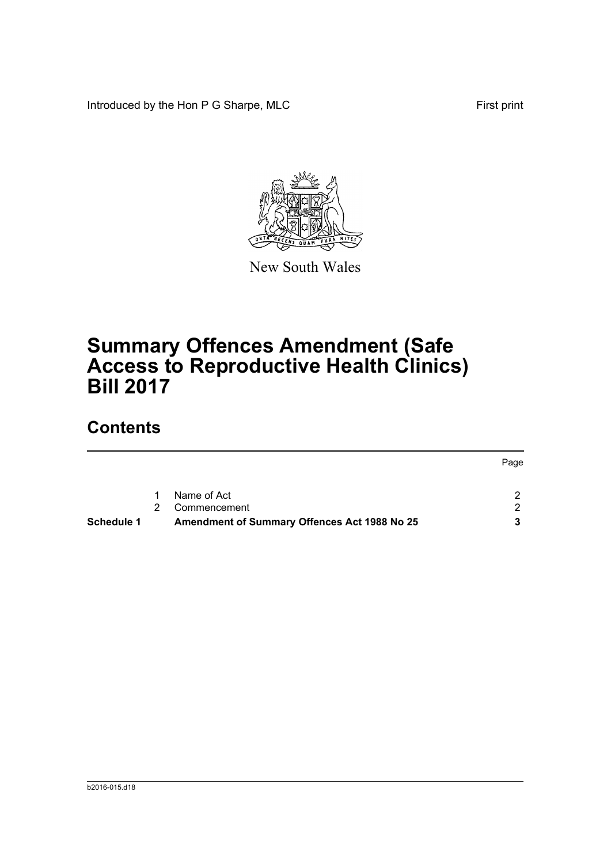Introduced by the Hon P G Sharpe, MLC First print



New South Wales

# **Summary Offences Amendment (Safe Access to Reproductive Health Clinics) Bill 2017**

## **Contents**

| <b>Schedule 1</b> |             | <b>Amendment of Summary Offences Act 1988 No 25</b> |      |
|-------------------|-------------|-----------------------------------------------------|------|
|                   | $2^{\circ}$ | Commencement                                        |      |
|                   | $1 \quad$   | Name of Act                                         |      |
|                   |             |                                                     | Page |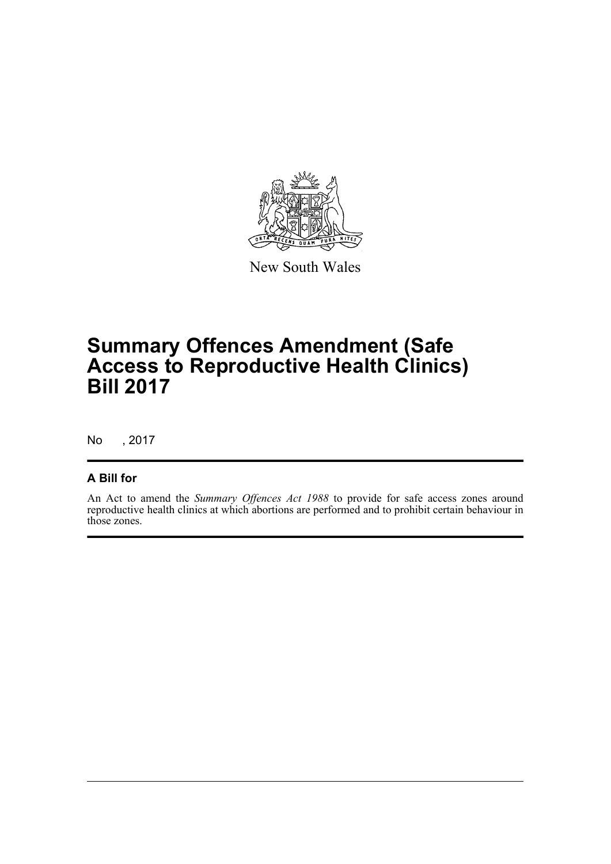

New South Wales

## **Summary Offences Amendment (Safe Access to Reproductive Health Clinics) Bill 2017**

No , 2017

### **A Bill for**

An Act to amend the *Summary Offences Act 1988* to provide for safe access zones around reproductive health clinics at which abortions are performed and to prohibit certain behaviour in those zones.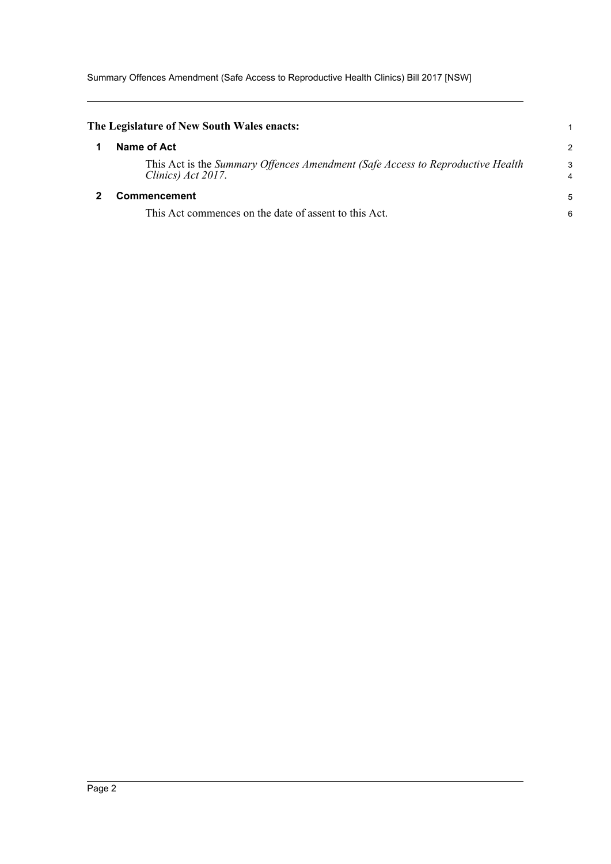Summary Offences Amendment (Safe Access to Reproductive Health Clinics) Bill 2017 [NSW]

<span id="page-4-1"></span><span id="page-4-0"></span>

| The Legislature of New South Wales enacts:                                                           |                     |
|------------------------------------------------------------------------------------------------------|---------------------|
| Name of Act                                                                                          | 2                   |
| This Act is the Summary Offences Amendment (Safe Access to Reproductive Health<br>Clinics) Act 2017. | 3<br>$\overline{4}$ |
| <b>Commencement</b>                                                                                  |                     |
| This Act commences on the date of assent to this Act.                                                | 6                   |
|                                                                                                      |                     |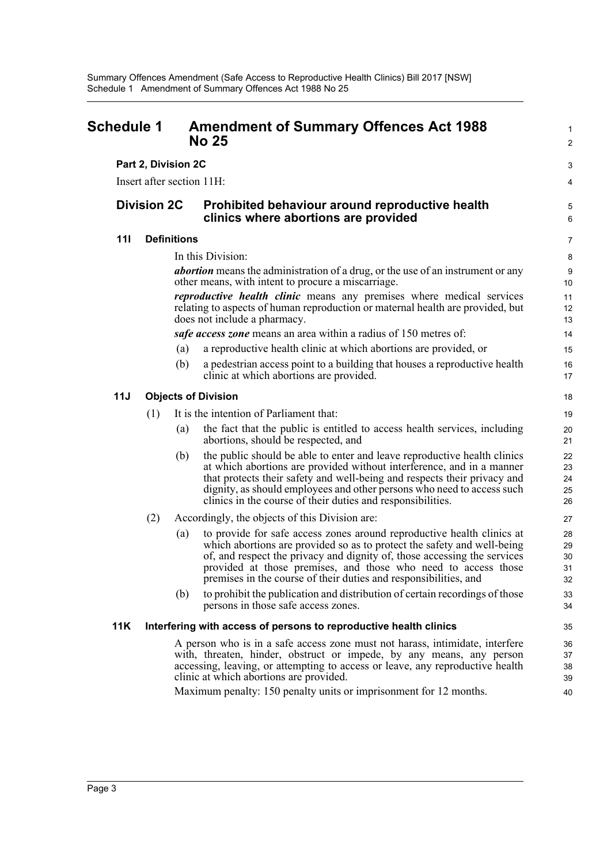<span id="page-5-0"></span>

| <b>Schedule 1</b> |                    |                     |                    | <b>Amendment of Summary Offences Act 1988</b><br><b>No 25</b>                                                                                                                                                                                                                                                                                                                                                                   |                                      |  |
|-------------------|--------------------|---------------------|--------------------|---------------------------------------------------------------------------------------------------------------------------------------------------------------------------------------------------------------------------------------------------------------------------------------------------------------------------------------------------------------------------------------------------------------------------------|--------------------------------------|--|
|                   |                    | Part 2, Division 2C |                    |                                                                                                                                                                                                                                                                                                                                                                                                                                 |                                      |  |
|                   |                    |                     |                    | Insert after section 11H:                                                                                                                                                                                                                                                                                                                                                                                                       | 4                                    |  |
|                   | <b>Division 2C</b> |                     |                    | Prohibited behaviour around reproductive health<br>clinics where abortions are provided                                                                                                                                                                                                                                                                                                                                         |                                      |  |
|                   | 111                |                     | <b>Definitions</b> |                                                                                                                                                                                                                                                                                                                                                                                                                                 | $\overline{7}$                       |  |
|                   |                    |                     |                    | In this Division:<br><i>abortion</i> means the administration of a drug, or the use of an instrument or any<br>other means, with intent to procure a miscarriage.<br>reproductive health clinic means any premises where medical services<br>relating to aspects of human reproduction or maternal health are provided, but<br>does not include a pharmacy.<br>safe access zone means an area within a radius of 150 metres of: | 8<br>9<br>10<br>11<br>12<br>13<br>14 |  |
|                   |                    |                     | (a)                | a reproductive health clinic at which abortions are provided, or                                                                                                                                                                                                                                                                                                                                                                | 15                                   |  |
|                   |                    |                     | (b)                | a pedestrian access point to a building that houses a reproductive health<br>clinic at which abortions are provided.                                                                                                                                                                                                                                                                                                            | 16<br>17                             |  |
|                   | 11J                |                     |                    | <b>Objects of Division</b>                                                                                                                                                                                                                                                                                                                                                                                                      | 18                                   |  |
|                   |                    | (1)                 |                    | It is the intention of Parliament that:                                                                                                                                                                                                                                                                                                                                                                                         | 19                                   |  |
|                   |                    |                     | (a)                | the fact that the public is entitled to access health services, including<br>abortions, should be respected, and                                                                                                                                                                                                                                                                                                                | 20<br>21                             |  |
|                   |                    |                     | (b)                | the public should be able to enter and leave reproductive health clinics<br>at which abortions are provided without interference, and in a manner<br>that protects their safety and well-being and respects their privacy and<br>dignity, as should employees and other persons who need to access such<br>clinics in the course of their duties and responsibilities.                                                          | 22<br>23<br>24<br>25<br>26           |  |
|                   |                    | (2)                 |                    | Accordingly, the objects of this Division are:                                                                                                                                                                                                                                                                                                                                                                                  | 27                                   |  |
|                   |                    |                     | (a)                | to provide for safe access zones around reproductive health clinics at<br>which abortions are provided so as to protect the safety and well-being<br>of, and respect the privacy and dignity of, those accessing the services<br>provided at those premises, and those who need to access those<br>premises in the course of their duties and responsibilities, and                                                             | 28<br>29<br>30<br>31<br>32           |  |
|                   |                    |                     | (b)                | to prohibit the publication and distribution of certain recordings of those<br>persons in those safe access zones.                                                                                                                                                                                                                                                                                                              | 33<br>34                             |  |
|                   | <b>11K</b>         |                     |                    | Interfering with access of persons to reproductive health clinics                                                                                                                                                                                                                                                                                                                                                               | 35                                   |  |
|                   |                    |                     |                    | A person who is in a safe access zone must not harass, intimidate, interfere<br>with, threaten, hinder, obstruct or impede, by any means, any person<br>accessing, leaving, or attempting to access or leave, any reproductive health<br>clinic at which abortions are provided.                                                                                                                                                | 36<br>37<br>38<br>39                 |  |
|                   |                    |                     |                    | Maximum penalty: 150 penalty units or imprisonment for 12 months.                                                                                                                                                                                                                                                                                                                                                               | 40                                   |  |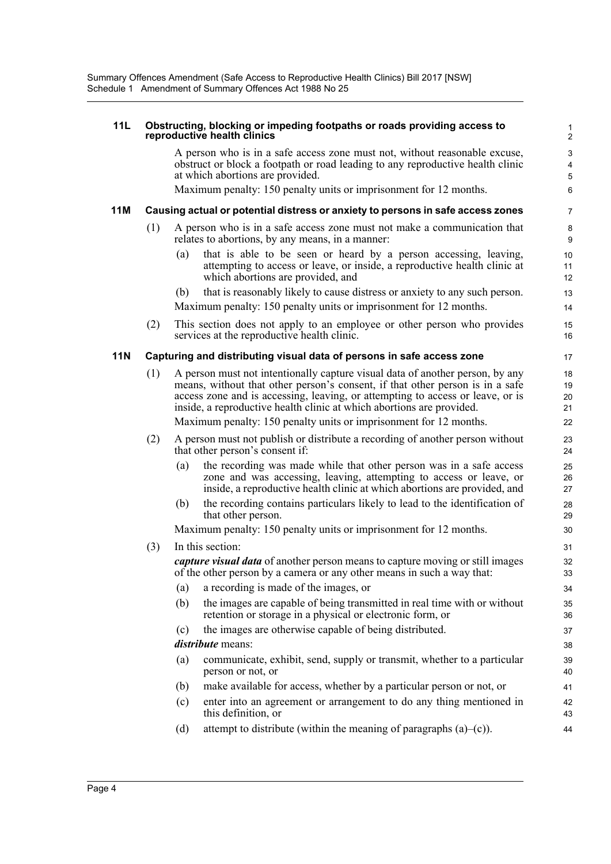#### **11L Obstructing, blocking or impeding footpaths or roads providing access to reproductive health clinics**

A person who is in a safe access zone must not, without reasonable excuse, obstruct or block a footpath or road leading to any reproductive health clinic at which abortions are provided.

Maximum penalty: 150 penalty units or imprisonment for 12 months.

#### **11M Causing actual or potential distress or anxiety to persons in safe access zones**

- (1) A person who is in a safe access zone must not make a communication that relates to abortions, by any means, in a manner:
	- (a) that is able to be seen or heard by a person accessing, leaving, attempting to access or leave, or inside, a reproductive health clinic at which abortions are provided, and
	- (b) that is reasonably likely to cause distress or anxiety to any such person. Maximum penalty: 150 penalty units or imprisonment for 12 months.
- (2) This section does not apply to an employee or other person who provides services at the reproductive health clinic.

#### **11N Capturing and distributing visual data of persons in safe access zone**

(1) A person must not intentionally capture visual data of another person, by any means, without that other person's consent, if that other person is in a safe access zone and is accessing, leaving, or attempting to access or leave, or is inside, a reproductive health clinic at which abortions are provided. Maximum penalty: 150 penalty units or imprisonment for 12 months.

- (2) A person must not publish or distribute a recording of another person without that other person's consent if:
	- (a) the recording was made while that other person was in a safe access zone and was accessing, leaving, attempting to access or leave, or inside, a reproductive health clinic at which abortions are provided, and
	- (b) the recording contains particulars likely to lead to the identification of that other person.

Maximum penalty: 150 penalty units or imprisonment for 12 months.

(3) In this section:

*capture visual data* of another person means to capture moving or still images of the other person by a camera or any other means in such a way that:

- (a) a recording is made of the images, or
- (b) the images are capable of being transmitted in real time with or without retention or storage in a physical or electronic form, or
- (c) the images are otherwise capable of being distributed.
- *distribute* means:
- (a) communicate, exhibit, send, supply or transmit, whether to a particular person or not, or
- (b) make available for access, whether by a particular person or not, or
- (c) enter into an agreement or arrangement to do any thing mentioned in this definition, or
- (d) attempt to distribute (within the meaning of paragraphs  $(a)$ – $(c)$ ).